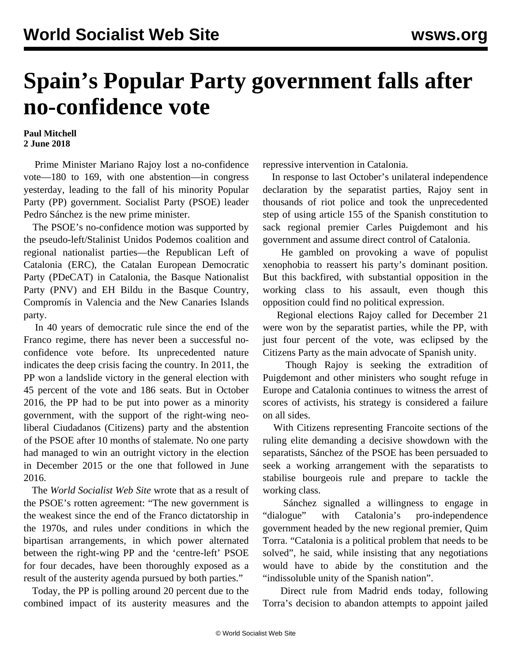## **Spain's Popular Party government falls after no-confidence vote**

## **Paul Mitchell 2 June 2018**

 Prime Minister Mariano Rajoy lost a no-confidence vote—180 to 169, with one abstention—in congress yesterday, leading to the fall of his minority Popular Party (PP) government. Socialist Party (PSOE) leader Pedro Sánchez is the new prime minister.

 The PSOE's no-confidence motion was supported by the pseudo-left/Stalinist Unidos Podemos coalition and regional nationalist parties—the Republican Left of Catalonia (ERC), the Catalan European Democratic Party (PDeCAT) in Catalonia, the Basque Nationalist Party (PNV) and EH Bildu in the Basque Country, Compromís in Valencia and the New Canaries Islands party.

 In 40 years of democratic rule since the end of the Franco regime, there has never been a successful noconfidence vote before. Its unprecedented nature indicates the deep crisis facing the country. In 2011, the PP won a landslide victory in the general election with 45 percent of the vote and 186 seats. But in October 2016, the PP had to be put into power as a minority government, with the support of the right-wing neoliberal Ciudadanos (Citizens) party and the abstention of the PSOE after 10 months of stalemate. No one party had managed to win an outright victory in the election in December 2015 or the one that followed in June 2016.

 The *World Socialist Web Site* wrote that as [a result of](/en/articles/2016/11/07/spai-n07.html) the PSOE's rotten agreement: "The new government is the weakest since the end of the Franco dictatorship in the 1970s, and rules under conditions in which the bipartisan arrangements, in which power alternated between the right-wing PP and the 'centre-left' PSOE for four decades, have been thoroughly exposed as a result of the austerity agenda pursued by both parties."

 Today, the PP is polling around 20 percent due to the combined impact of its austerity measures and the repressive intervention in Catalonia.

 In response to last October's unilateral independence declaration by the separatist parties, Rajoy sent in thousands of riot police and took the unprecedented step of using article 155 of the Spanish constitution to sack regional premier Carles Puigdemont and his government and assume direct control of Catalonia.

 He gambled on provoking a wave of populist xenophobia to reassert his party's dominant position. But this backfired, with substantial opposition in the working class to his assault, even though this opposition could find no political expression.

 Regional elections Rajoy called for December 21 were won by the separatist parties, while the PP, with just four percent of the vote, was eclipsed by the Citizens Party as the main advocate of Spanish unity.

 Though Rajoy is seeking the extradition of Puigdemont and other ministers who sought refuge in Europe and Catalonia continues to witness the arrest of scores of activists, his strategy is considered a failure on all sides.

 With Citizens representing Francoite sections of the ruling elite demanding a decisive showdown with the separatists, Sánchez of the PSOE has been persuaded to seek a working arrangement with the separatists to stabilise bourgeois rule and prepare to tackle the working class.

 Sánchez signalled a willingness to engage in "dialogue" with Catalonia's pro-independence government headed by the new regional premier, Quim Torra. "Catalonia is a political problem that needs to be solved", he said, while insisting that any negotiations would have to abide by the constitution and the "indissoluble unity of the Spanish nation".

 Direct rule from Madrid ends today, following Torra's decision to abandon attempts to appoint jailed